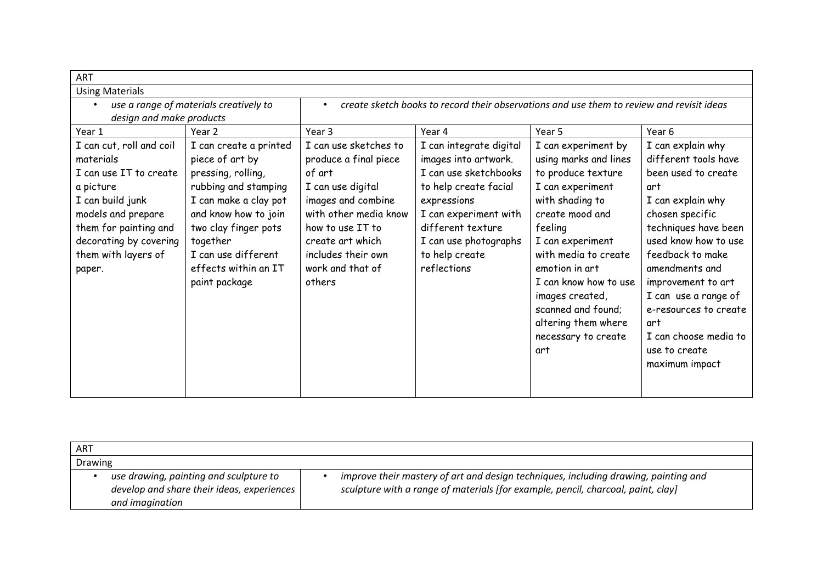| <b>ART</b>                             |                        |                                                                                           |                         |                       |                       |  |
|----------------------------------------|------------------------|-------------------------------------------------------------------------------------------|-------------------------|-----------------------|-----------------------|--|
| <b>Using Materials</b>                 |                        |                                                                                           |                         |                       |                       |  |
| use a range of materials creatively to |                        | create sketch books to record their observations and use them to review and revisit ideas |                         |                       |                       |  |
| design and make products               |                        |                                                                                           |                         |                       |                       |  |
| Year 1                                 | Year <sub>2</sub>      | Year 3                                                                                    | Year 4                  | Year 5                | Year 6                |  |
| I can cut, roll and coil               | I can create a printed | I can use sketches to                                                                     | I can integrate digital | I can experiment by   | I can explain why     |  |
| materials                              | piece of art by        | produce a final piece                                                                     | images into artwork.    | using marks and lines | different tools have  |  |
| I can use IT to create                 | pressing, rolling,     | of art                                                                                    | I can use sketchbooks   | to produce texture    | been used to create   |  |
| a picture                              | rubbing and stamping   | I can use digital                                                                         | to help create facial   | I can experiment      | art                   |  |
| I can build junk                       | I can make a clay pot  | images and combine                                                                        | expressions             | with shading to       | I can explain why     |  |
| models and prepare                     | and know how to join   | with other media know                                                                     | I can experiment with   | create mood and       | chosen specific       |  |
| them for painting and                  | two clay finger pots   | how to use IT to                                                                          | different texture       | feeling               | techniques have been  |  |
| decorating by covering                 | together               | create art which                                                                          | I can use photographs   | I can experiment      | used know how to use  |  |
| them with layers of                    | I can use different    | includes their own                                                                        | to help create          | with media to create  | feedback to make      |  |
| paper.                                 | effects within an IT   | work and that of                                                                          | reflections             | emotion in art        | amendments and        |  |
|                                        | paint package          | others                                                                                    |                         | I can know how to use | improvement to art    |  |
|                                        |                        |                                                                                           |                         | images created,       | I can use a range of  |  |
|                                        |                        |                                                                                           |                         | scanned and found;    | e-resources to create |  |
|                                        |                        |                                                                                           |                         | altering them where   | art                   |  |
|                                        |                        |                                                                                           |                         | necessary to create   | I can choose media to |  |
|                                        |                        |                                                                                           |                         | art                   | use to create         |  |
|                                        |                        |                                                                                           |                         |                       | maximum impact        |  |
|                                        |                        |                                                                                           |                         |                       |                       |  |
|                                        |                        |                                                                                           |                         |                       |                       |  |

| ART     |                                                                                                         |                                                                                                                                                                         |
|---------|---------------------------------------------------------------------------------------------------------|-------------------------------------------------------------------------------------------------------------------------------------------------------------------------|
| Drawing |                                                                                                         |                                                                                                                                                                         |
|         | use drawing, painting and sculpture to<br>develop and share their ideas, experiences<br>and imagination | improve their mastery of art and design techniques, including drawing, painting and<br>sculpture with a range of materials [for example, pencil, charcoal, paint, clay] |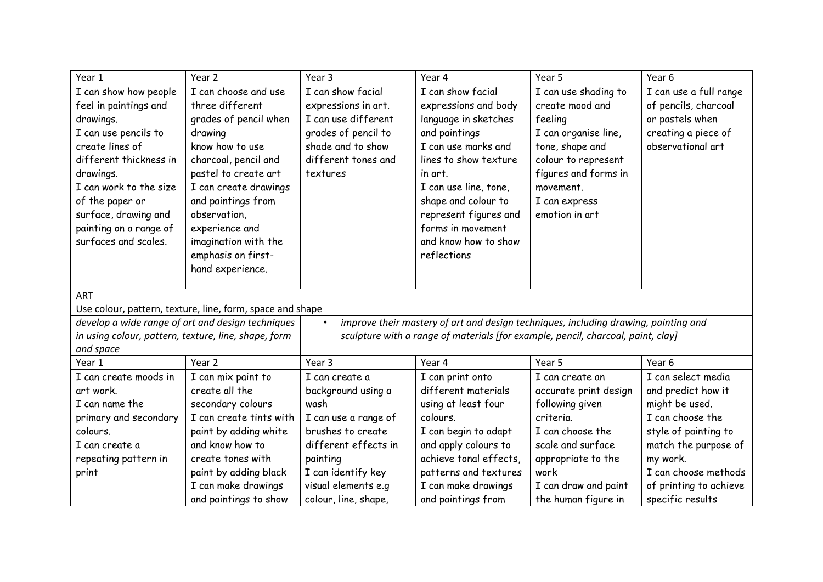| Year 1                                            | Year <sub>2</sub>                                         | Year <sub>3</sub>    | Year 4                                                                              | Year 5                | Year 6                 |
|---------------------------------------------------|-----------------------------------------------------------|----------------------|-------------------------------------------------------------------------------------|-----------------------|------------------------|
| I can show how people                             | I can choose and use                                      | I can show facial    | I can show facial                                                                   | I can use shading to  | I can use a full range |
| feel in paintings and                             | three different                                           | expressions in art.  | expressions and body                                                                | create mood and       | of pencils, charcoal   |
| drawings.                                         | grades of pencil when                                     | I can use different  | language in sketches                                                                | feeling               | or pastels when        |
| I can use pencils to                              | drawing                                                   | grades of pencil to  | and paintings                                                                       | I can organise line,  | creating a piece of    |
| create lines of                                   | know how to use                                           | shade and to show    | I can use marks and                                                                 | tone, shape and       | observational art      |
| different thickness in                            | charcoal, pencil and                                      | different tones and  | lines to show texture                                                               | colour to represent   |                        |
| drawings.                                         | pastel to create art                                      | textures             | in art.                                                                             | figures and forms in  |                        |
| I can work to the size                            | I can create drawings                                     |                      | I can use line, tone,                                                               | movement.             |                        |
| of the paper or                                   | and paintings from                                        |                      | shape and colour to                                                                 | I can express         |                        |
| surface, drawing and                              | observation,                                              |                      | represent figures and                                                               | emotion in art        |                        |
| painting on a range of                            | experience and                                            |                      | forms in movement                                                                   |                       |                        |
| surfaces and scales.                              | imagination with the                                      |                      | and know how to show                                                                |                       |                        |
|                                                   | emphasis on first-                                        |                      | reflections                                                                         |                       |                        |
|                                                   | hand experience.                                          |                      |                                                                                     |                       |                        |
|                                                   |                                                           |                      |                                                                                     |                       |                        |
| <b>ART</b>                                        |                                                           |                      |                                                                                     |                       |                        |
|                                                   | Use colour, pattern, texture, line, form, space and shape |                      |                                                                                     |                       |                        |
| develop a wide range of art and design techniques |                                                           | $\bullet$            | improve their mastery of art and design techniques, including drawing, painting and |                       |                        |
|                                                   | in using colour, pattern, texture, line, shape, form      |                      | sculpture with a range of materials [for example, pencil, charcoal, paint, clay]    |                       |                        |
| and space                                         |                                                           |                      |                                                                                     |                       |                        |
| Year 1                                            | Year 2                                                    | Year <sub>3</sub>    | Year 4                                                                              | Year 5                | Year 6                 |
| I can create moods in                             | I can mix paint to                                        | I can create a       | I can print onto                                                                    | I can create an       | I can select media     |
| art work.                                         | create all the                                            | background using a   | different materials                                                                 | accurate print design | and predict how it     |
| I can name the                                    | secondary colours                                         | wash                 | using at least four                                                                 | following given       | might be used.         |
| primary and secondary                             | I can create tints with                                   | I can use a range of | colours.                                                                            | criteria.             | I can choose the       |
| colours.                                          | paint by adding white                                     | brushes to create    | I can begin to adapt                                                                | I can choose the      | style of painting to   |
| I can create a                                    | and know how to                                           | different effects in | and apply colours to                                                                | scale and surface     | match the purpose of   |
| repeating pattern in                              | create tones with                                         | painting             | achieve tonal effects,                                                              | appropriate to the    | my work.               |
| print                                             | paint by adding black                                     | I can identify key   | patterns and textures                                                               | work                  | I can choose methods   |
|                                                   | I can make drawings                                       | visual elements e.g  | I can make drawings                                                                 | I can draw and paint  | of printing to achieve |
|                                                   | and paintings to show                                     | colour, line, shape, | and paintings from                                                                  | the human figure in   | specific results       |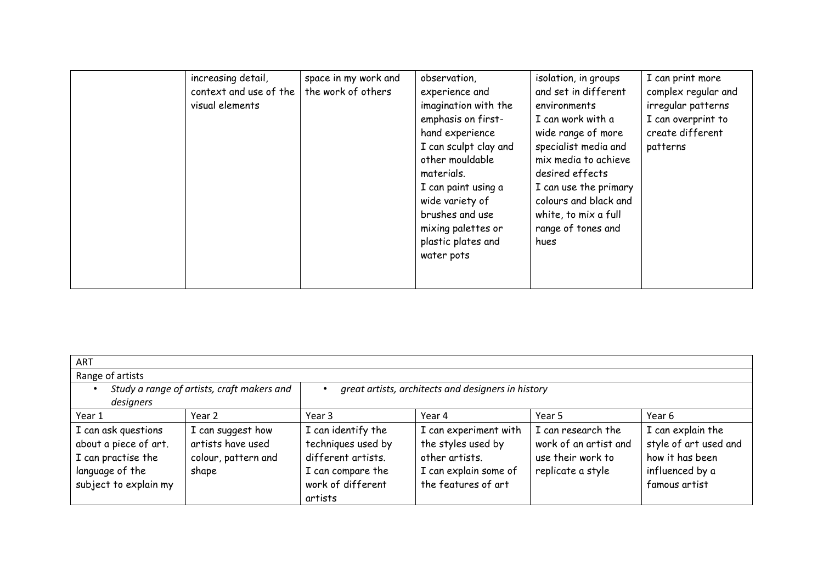| increasing detail,     | space in my work and | observation,          | isolation, in groups  | I can print more    |
|------------------------|----------------------|-----------------------|-----------------------|---------------------|
| context and use of the | the work of others   | experience and        | and set in different  | complex regular and |
| visual elements        |                      | imagination with the  | environments          | irregular patterns  |
|                        |                      | emphasis on first-    | I can work with a     | I can overprint to  |
|                        |                      | hand experience       | wide range of more    | create different    |
|                        |                      | I can sculpt clay and | specialist media and  | patterns            |
|                        |                      | other mouldable       | mix media to achieve  |                     |
|                        |                      | materials.            | desired effects       |                     |
|                        |                      | I can paint using a   | I can use the primary |                     |
|                        |                      | wide variety of       | colours and black and |                     |
|                        |                      | brushes and use       | white, to mix a full  |                     |
|                        |                      | mixing palettes or    | range of tones and    |                     |
|                        |                      | plastic plates and    | hues                  |                     |
|                        |                      | water pots            |                       |                     |
|                        |                      |                       |                       |                     |
|                        |                      |                       |                       |                     |

| <b>ART</b>                                                         |                                        |                                                                |                                                               |                                                                  |                                                               |  |
|--------------------------------------------------------------------|----------------------------------------|----------------------------------------------------------------|---------------------------------------------------------------|------------------------------------------------------------------|---------------------------------------------------------------|--|
| Range of artists                                                   |                                        |                                                                |                                                               |                                                                  |                                                               |  |
| Study a range of artists, craft makers and<br>designers            |                                        | great artists, architects and designers in history             |                                                               |                                                                  |                                                               |  |
| Year 1                                                             | Year 2                                 | Year 3                                                         | Year 4                                                        | Year 5                                                           | Year 6                                                        |  |
| I can ask questions<br>about a piece of art.<br>I can practise the | I can suggest how<br>artists have used | I can identify the<br>techniques used by<br>different artists. | I can experiment with<br>the styles used by<br>other artists. | I can research the<br>work of an artist and<br>use their work to | I can explain the<br>style of art used and<br>how it has been |  |
| language of the<br>subject to explain my                           | colour, pattern and<br>shape           | I can compare the<br>work of different<br>artists              | I can explain some of<br>the features of art                  | replicate a style                                                | influenced by a<br>famous artist                              |  |